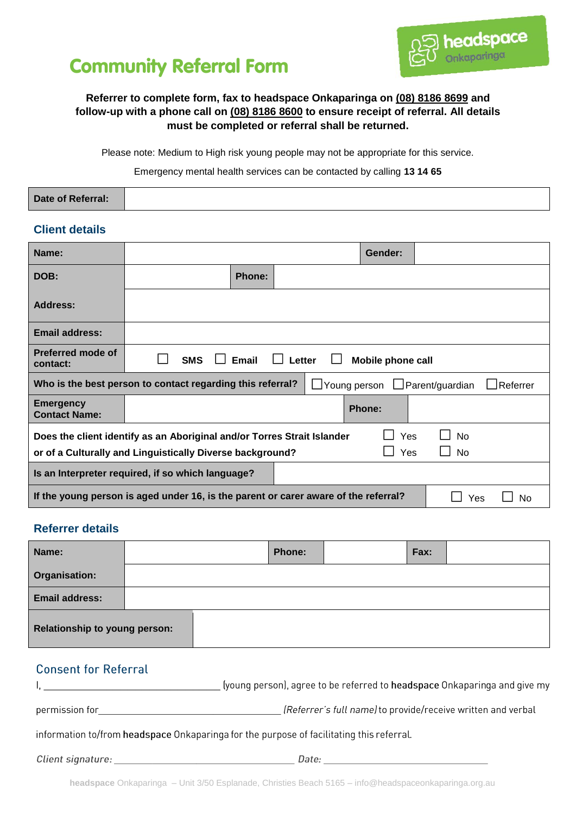



### **Referrer to complete form, fax to headspace Onkaparinga on (08) 8186 8699 and follow-up with a phone call on (08) 8186 8600 to ensure receipt of referral. All details must be completed or referral shall be returned.**

Please note: Medium to High risk young people may not be appropriate for this service.

Emergency mental health services can be contacted by calling **13 14 65**

#### **Date of Referral:**

#### **Client details**

| Name:                                                                                                                |            |               |        | Gender:           |  |  |
|----------------------------------------------------------------------------------------------------------------------|------------|---------------|--------|-------------------|--|--|
| DOB:                                                                                                                 |            | <b>Phone:</b> |        |                   |  |  |
| <b>Address:</b>                                                                                                      |            |               |        |                   |  |  |
| <b>Email address:</b>                                                                                                |            |               |        |                   |  |  |
| <b>Preferred mode of</b><br>contact:                                                                                 | <b>SMS</b> | Email         | Letter | Mobile phone call |  |  |
| Who is the best person to contact regarding this referral?<br>$\Box$ Young person $\Box$ Parent/guardian<br>Referrer |            |               |        |                   |  |  |
| <b>Emergency</b><br><b>Contact Name:</b>                                                                             |            |               |        | <b>Phone:</b>     |  |  |
| Yes<br><b>No</b><br>Does the client identify as an Aboriginal and/or Torres Strait Islander                          |            |               |        |                   |  |  |
| Yes<br><b>No</b><br>or of a Culturally and Linguistically Diverse background?                                        |            |               |        |                   |  |  |
| Is an Interpreter required, if so which language?                                                                    |            |               |        |                   |  |  |
| If the young person is aged under 16, is the parent or carer aware of the referral?<br>Yes                           |            |               |        | No                |  |  |

## **Referrer details**

| Name:                         |  | Phone: | Fax: |  |
|-------------------------------|--|--------|------|--|
| Organisation:                 |  |        |      |  |
| <b>Email address:</b>         |  |        |      |  |
| Relationship to young person: |  |        |      |  |

## **Consent for Referral**

|                | (young person), agree to be referred to headspace Onkaparinga and give my |
|----------------|---------------------------------------------------------------------------|
| permission for | (Referrer's full name) to provide/receive written and verbal              |

information to/from headspace Onkaparinga for the purpose of facilitating this referral.

Client signature: Date: Date: Date: